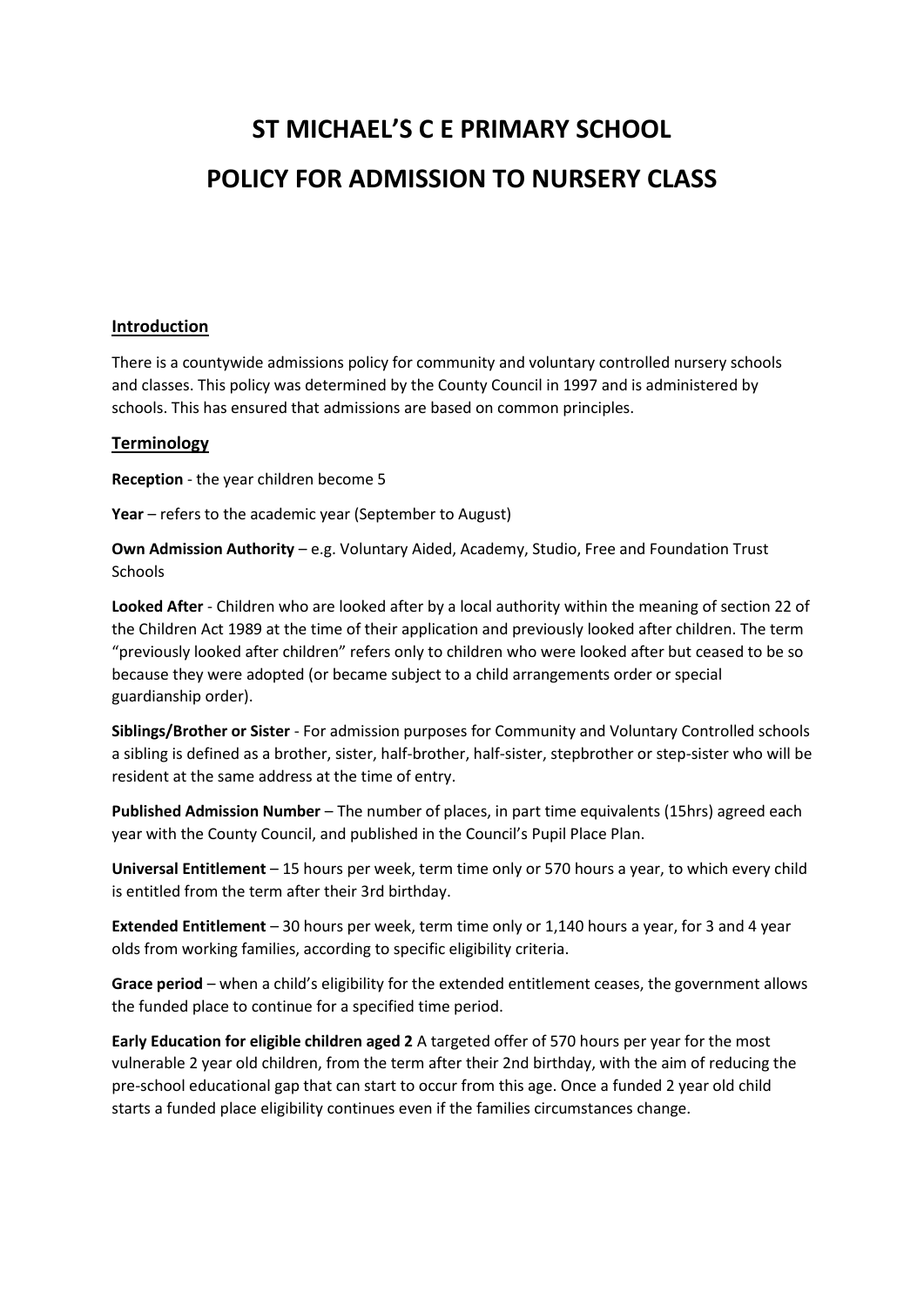# **ST MICHAEL'S C E PRIMARY SCHOOL POLICY FOR ADMISSION TO NURSERY CLASS**

#### **Introduction**

There is a countywide admissions policy for community and voluntary controlled nursery schools and classes. This policy was determined by the County Council in 1997 and is administered by schools. This has ensured that admissions are based on common principles.

#### **Terminology**

**Reception** - the year children become 5

**Year** – refers to the academic year (September to August)

**Own Admission Authority** – e.g. Voluntary Aided, Academy, Studio, Free and Foundation Trust **Schools** 

**Looked After** - Children who are looked after by a local authority within the meaning of section 22 of the Children Act 1989 at the time of their application and previously looked after children. The term "previously looked after children" refers only to children who were looked after but ceased to be so because they were adopted (or became subject to a child arrangements order or special guardianship order).

**Siblings/Brother or Sister** - For admission purposes for Community and Voluntary Controlled schools a sibling is defined as a brother, sister, half-brother, half-sister, stepbrother or step-sister who will be resident at the same address at the time of entry.

**Published Admission Number** – The number of places, in part time equivalents (15hrs) agreed each year with the County Council, and published in the Council's Pupil Place Plan.

**Universal Entitlement** – 15 hours per week, term time only or 570 hours a year, to which every child is entitled from the term after their 3rd birthday.

**Extended Entitlement** – 30 hours per week, term time only or 1,140 hours a year, for 3 and 4 year olds from working families, according to specific eligibility criteria.

**Grace period** – when a child's eligibility for the extended entitlement ceases, the government allows the funded place to continue for a specified time period.

**Early Education for eligible children aged 2** A targeted offer of 570 hours per year for the most vulnerable 2 year old children, from the term after their 2nd birthday, with the aim of reducing the pre-school educational gap that can start to occur from this age. Once a funded 2 year old child starts a funded place eligibility continues even if the families circumstances change.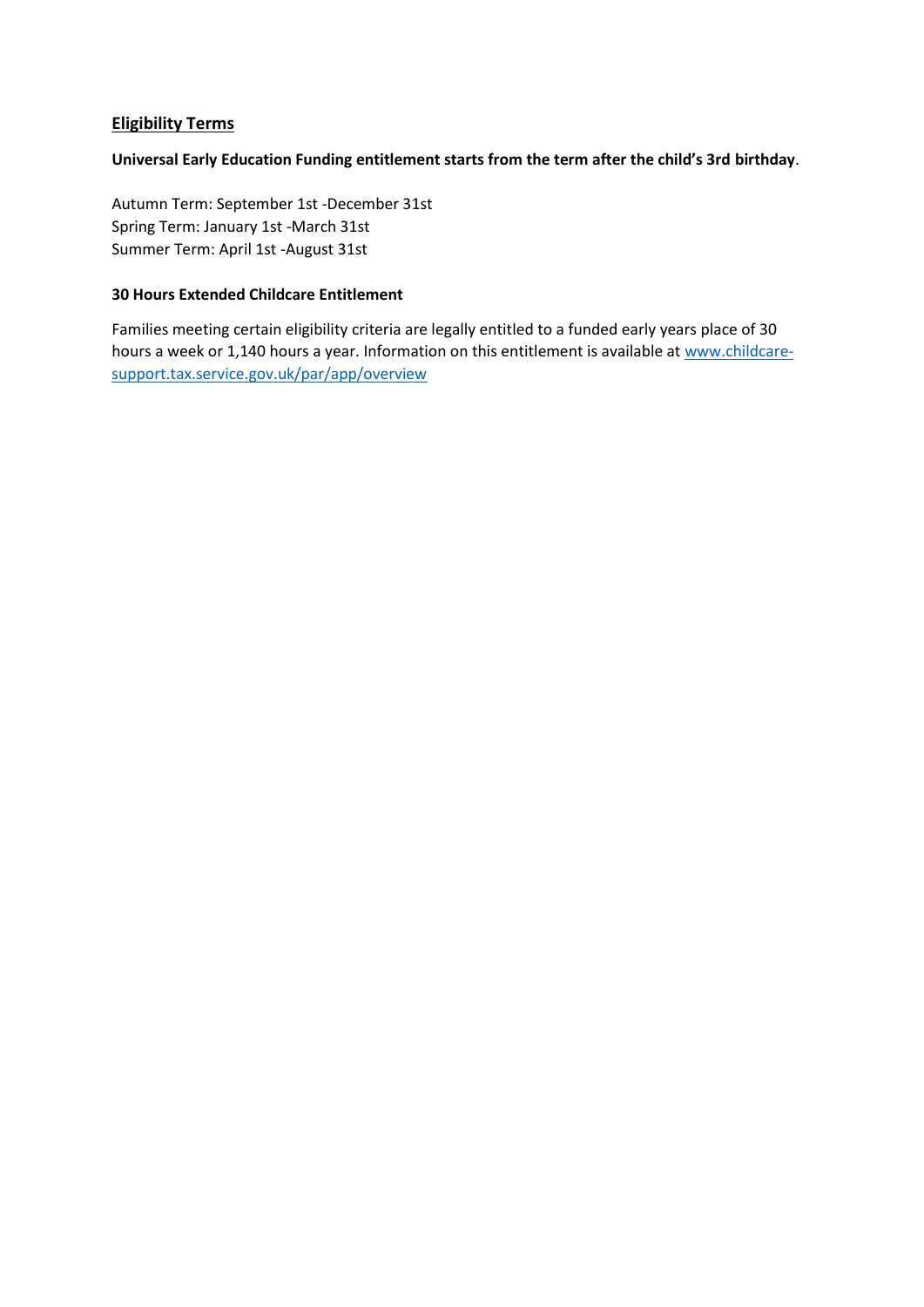#### **Eligibility Terms**

#### **Universal Early Education Funding entitlement starts from the term after the child's 3rd birthday**.

Autumn Term: September 1st -December 31st Spring Term: January 1st -March 31st Summer Term: April 1st -August 31st

#### **30 Hours Extended Childcare Entitlement**

Families meeting certain eligibility criteria are legally entitled to a funded early years place of 30 hours a week or 1,140 hours a year. Information on this entitlement is available at [www.childcare](http://www.childcare-support.tax.service.gov.uk/par/app/overview)[support.tax.service.gov.uk/par/app/overview](http://www.childcare-support.tax.service.gov.uk/par/app/overview)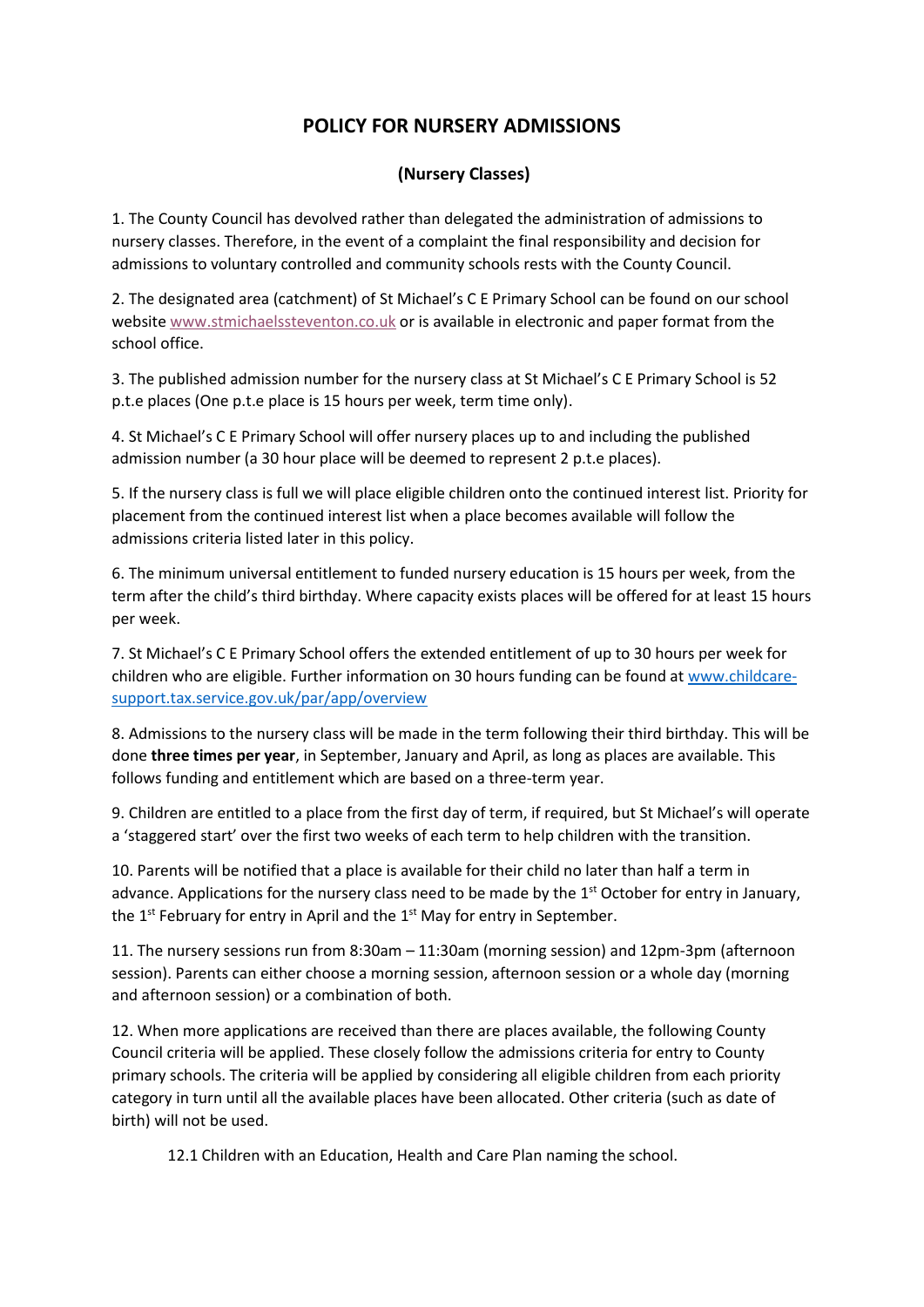## **POLICY FOR NURSERY ADMISSIONS**

### **(Nursery Classes)**

1. The County Council has devolved rather than delegated the administration of admissions to nursery classes. Therefore, in the event of a complaint the final responsibility and decision for admissions to voluntary controlled and community schools rests with the County Council.

2. The designated area (catchment) of St Michael's C E Primary School can be found on our school websit[e www.stmichaelssteventon.co.uk](http://www.stmichaelssteventon.co.uk/attachments/download.asp?file=29) or is available in electronic and paper format from the school office.

3. The published admission number for the nursery class at St Michael's C E Primary School is 52 p.t.e places (One p.t.e place is 15 hours per week, term time only).

4. St Michael's C E Primary School will offer nursery places up to and including the published admission number (a 30 hour place will be deemed to represent 2 p.t.e places).

5. If the nursery class is full we will place eligible children onto the continued interest list. Priority for placement from the continued interest list when a place becomes available will follow the admissions criteria listed later in this policy.

6. The minimum universal entitlement to funded nursery education is 15 hours per week, from the term after the child's third birthday. Where capacity exists places will be offered for at least 15 hours per week.

7. St Michael's C E Primary School offers the extended entitlement of up to 30 hours per week for children who are eligible. Further information on 30 hours funding can be found at [www.childcare](http://www.childcare-support.tax.service.gov.uk/par/app/overview)[support.tax.service.gov.uk/par/app/overview](http://www.childcare-support.tax.service.gov.uk/par/app/overview)

8. Admissions to the nursery class will be made in the term following their third birthday. This will be done **three times per year**, in September, January and April, as long as places are available. This follows funding and entitlement which are based on a three-term year.

9. Children are entitled to a place from the first day of term, if required, but St Michael's will operate a 'staggered start' over the first two weeks of each term to help children with the transition.

10. Parents will be notified that a place is available for their child no later than half a term in advance. Applications for the nursery class need to be made by the 1<sup>st</sup> October for entry in January, the 1<sup>st</sup> February for entry in April and the 1<sup>st</sup> May for entry in September.

11. The nursery sessions run from 8:30am – 11:30am (morning session) and 12pm-3pm (afternoon session). Parents can either choose a morning session, afternoon session or a whole day (morning and afternoon session) or a combination of both.

12. When more applications are received than there are places available, the following County Council criteria will be applied. These closely follow the admissions criteria for entry to County primary schools. The criteria will be applied by considering all eligible children from each priority category in turn until all the available places have been allocated. Other criteria (such as date of birth) will not be used.

12.1 Children with an Education, Health and Care Plan naming the school.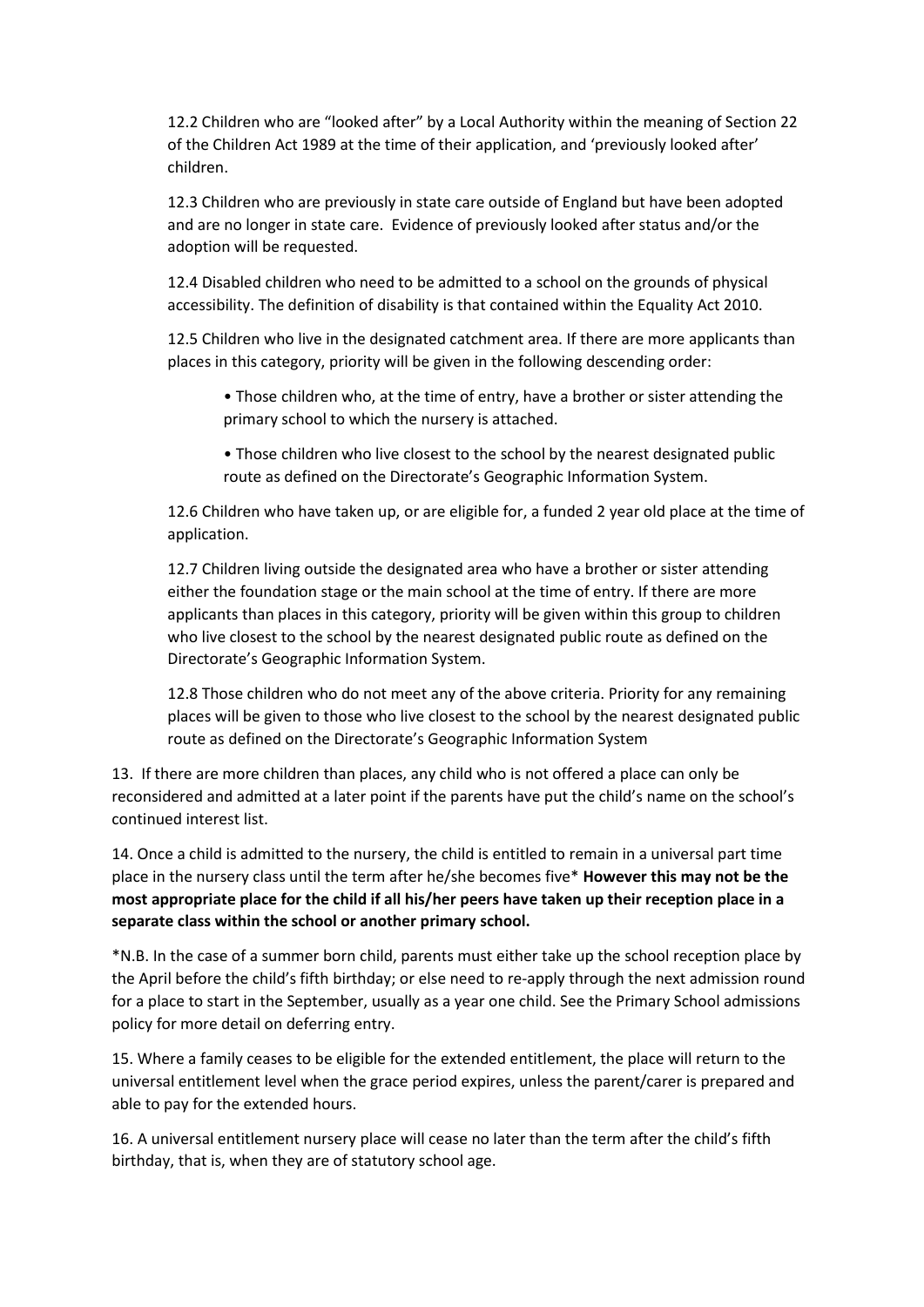12.2 Children who are "looked after" by a Local Authority within the meaning of Section 22 of the Children Act 1989 at the time of their application, and 'previously looked after' children.

12.3 Children who are previously in state care outside of England but have been adopted and are no longer in state care. Evidence of previously looked after status and/or the adoption will be requested.

12.4 Disabled children who need to be admitted to a school on the grounds of physical accessibility. The definition of disability is that contained within the Equality Act 2010.

12.5 Children who live in the designated catchment area. If there are more applicants than places in this category, priority will be given in the following descending order:

• Those children who, at the time of entry, have a brother or sister attending the primary school to which the nursery is attached.

• Those children who live closest to the school by the nearest designated public route as defined on the Directorate's Geographic Information System.

12.6 Children who have taken up, or are eligible for, a funded 2 year old place at the time of application.

12.7 Children living outside the designated area who have a brother or sister attending either the foundation stage or the main school at the time of entry. If there are more applicants than places in this category, priority will be given within this group to children who live closest to the school by the nearest designated public route as defined on the Directorate's Geographic Information System.

12.8 Those children who do not meet any of the above criteria. Priority for any remaining places will be given to those who live closest to the school by the nearest designated public route as defined on the Directorate's Geographic Information System

13. If there are more children than places, any child who is not offered a place can only be reconsidered and admitted at a later point if the parents have put the child's name on the school's continued interest list.

14. Once a child is admitted to the nursery, the child is entitled to remain in a universal part time place in the nursery class until the term after he/she becomes five\* **However this may not be the most appropriate place for the child if all his/her peers have taken up their reception place in a separate class within the school or another primary school.**

\*N.B. In the case of a summer born child, parents must either take up the school reception place by the April before the child's fifth birthday; or else need to re-apply through the next admission round for a place to start in the September, usually as a year one child. See the Primary School admissions policy for more detail on deferring entry.

15. Where a family ceases to be eligible for the extended entitlement, the place will return to the universal entitlement level when the grace period expires, unless the parent/carer is prepared and able to pay for the extended hours.

16. A universal entitlement nursery place will cease no later than the term after the child's fifth birthday, that is, when they are of statutory school age.